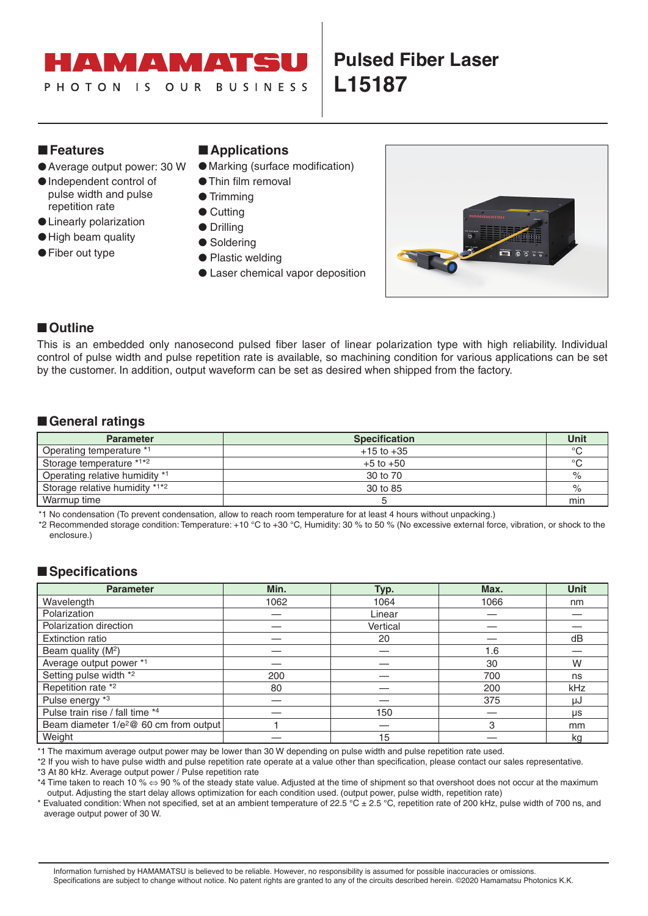#### MT AT  $\blacktriangle$

# **Pulsed Fiber Laser L15187**

#### ■**Features**

- 
- 
- ●Independent control of pulse width and pulse repetition rate
- ●Linearly polarization
- ●High beam quality
- Fiber out type

## ■**Applications**

- Average output power: 30 W Marking (surface modification)
	- ●Thin film removal
	- Trimming
	- Cutting
	- Drilling
	- Soldering
	- Plastic welding
	- Laser chemical vapor deposition



### ■**Outline**

This is an embedded only nanosecond pulsed fiber laser of linear polarization type with high reliability. Individual control of pulse width and pulse repetition rate is available, so machining condition for various applications can be set by the customer. In addition, output waveform can be set as desired when shipped from the factory.

### ■**General ratings**

| <b>Parameter</b>               | <b>Specification</b> | Unit    |
|--------------------------------|----------------------|---------|
| Operating temperature *1       | $+15$ to $+35$       | $\circ$ |
| Storage temperature *1*2       | $+5$ to $+50$        | $\circ$ |
| Operating relative humidity *1 | 30 to 70             | $\%$    |
| Storage relative humidity *1*2 | 30 to 85             | $\%$    |
| Warmup time                    |                      | min     |

\*1 No condensation (To prevent condensation, allow to reach room temperature for at least 4 hours without unpacking.)

\*2 Recommended storage condition: Temperature: +10 °C to +30 °C, Humidity: 30 % to 50 % (No excessive external force, vibration, or shock to the enclosure.)

### ■**Specifications**

| <b>Parameter</b>                                   | Min. | Typ.     | Max. | Unit |
|----------------------------------------------------|------|----------|------|------|
| Wavelength                                         | 1062 | 1064     | 1066 | nm   |
| Polarization                                       |      | Linear   |      |      |
| Polarization direction                             |      | Vertical |      |      |
| <b>Extinction ratio</b>                            |      | 20       |      | dB   |
| Beam quality (M <sup>2</sup> )                     |      |          | 1.6  |      |
| Average output power *1                            |      |          | 30   | W    |
| Setting pulse width *2                             | 200  |          | 700  | ns   |
| Repetition rate *2                                 | 80   |          | 200  | kHz  |
| Pulse energy *3                                    |      |          | 375  | μJ   |
| Pulse train rise / fall time *4                    |      | 150      |      | μs   |
| Beam diameter 1/e <sup>2</sup> @ 60 cm from output |      |          | 3    | mm   |
| Weight                                             |      | 15       |      | kq   |

\*1 The maximum average output power may be lower than 30 W depending on pulse width and pulse repetition rate used.

\*2 If you wish to have pulse width and pulse repetition rate operate at a value other than specification, please contact our sales representative.

\*3 At 80 kHz. Average output power / Pulse repetition rate

\*4 Time taken to reach 10 % ⇔ 90 % of the steady state value. Adjusted at the time of shipment so that overshoot does not occur at the maximum output. Adjusting the start delay allows optimization for each condition used. (output power, pulse width, repetition rate)

\* Evaluated condition: When not specified, set at an ambient temperature of 22.5 °C ± 2.5 °C, repetition rate of 200 kHz, pulse width of 700 ns, and average output power of 30 W.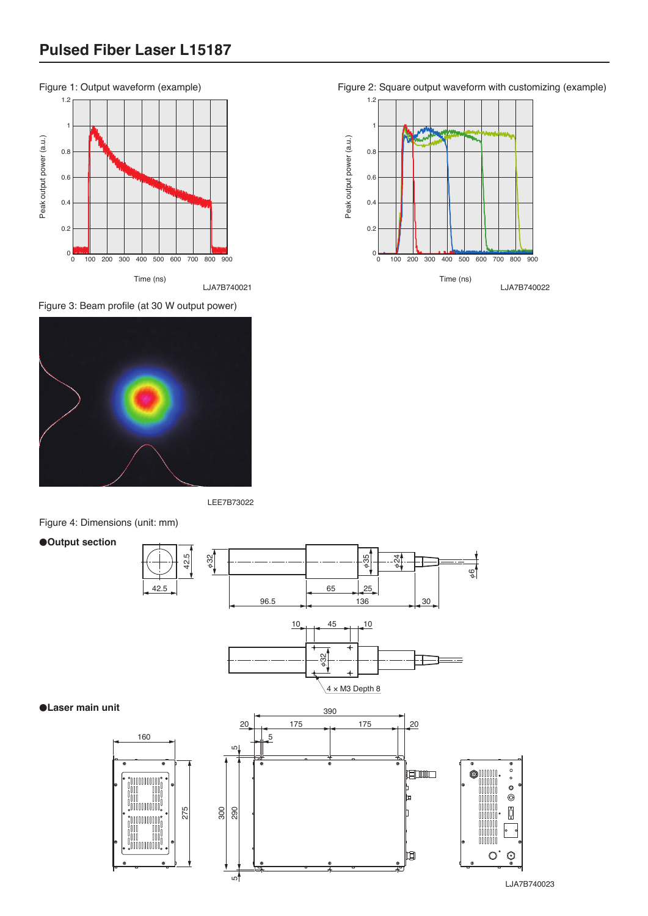

Figure 3: Beam profile (at 30 W output power)



LEE7B73022

Figure 4: Dimensions (unit: mm)

●**Output section**



●**Laser main unit**

LJA7B740023

Figure 2: Square output waveform with customizing (example)



LJA7B740021 LJA7B740022